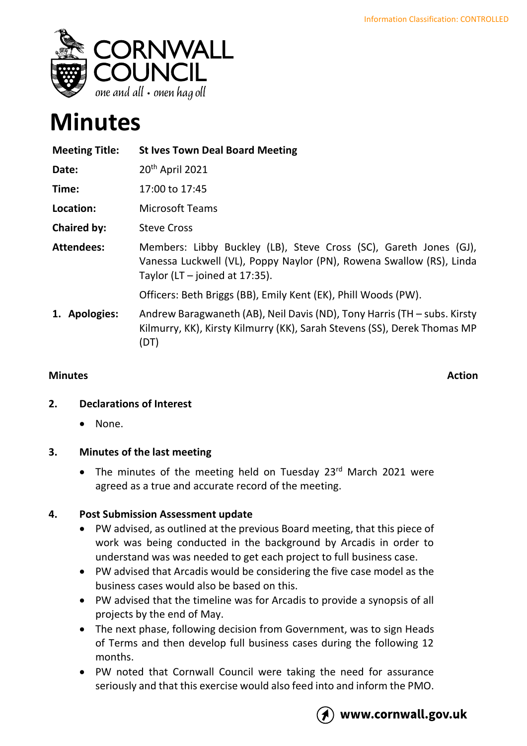

# **Minutes**

| <b>Meeting Title:</b> | <b>St Ives Town Deal Board Meeting</b>                                                                                                                                        |
|-----------------------|-------------------------------------------------------------------------------------------------------------------------------------------------------------------------------|
| Date:                 | 20 <sup>th</sup> April 2021                                                                                                                                                   |
| Time:                 | 17:00 to 17:45                                                                                                                                                                |
| Location:             | <b>Microsoft Teams</b>                                                                                                                                                        |
| Chaired by:           | <b>Steve Cross</b>                                                                                                                                                            |
| <b>Attendees:</b>     | Members: Libby Buckley (LB), Steve Cross (SC), Gareth Jones (GJ),<br>Vanessa Luckwell (VL), Poppy Naylor (PN), Rowena Swallow (RS), Linda<br>Taylor (LT $-$ joined at 17:35). |
|                       | Officers: Beth Briggs (BB), Emily Kent (EK), Phill Woods (PW).                                                                                                                |
| 1. Apologies:         | Andrew Baragwaneth (AB), Neil Davis (ND), Tony Harris (TH – subs. Kirsty<br>Kilmurry, KK), Kirsty Kilmurry (KK), Sarah Stevens (SS), Derek Thomas MP<br>(DT)                  |

### **Minutes Action**

# **2. Declarations of Interest**

• None.

# **3. Minutes of the last meeting**

• The minutes of the meeting held on Tuesday  $23<sup>rd</sup>$  March 2021 were agreed as a true and accurate record of the meeting.

# **4. Post Submission Assessment update**

- PW advised, as outlined at the previous Board meeting, that this piece of work was being conducted in the background by Arcadis in order to understand was was needed to get each project to full business case.
- PW advised that Arcadis would be considering the five case model as the business cases would also be based on this.
- PW advised that the timeline was for Arcadis to provide a synopsis of all projects by the end of May.
- The next phase, following decision from Government, was to sign Heads of Terms and then develop full business cases during the following 12 months.
- PW noted that Cornwall Council were taking the need for assurance seriously and that this exercise would also feed into and inform the PMO.



# www.cornwall.gov.uk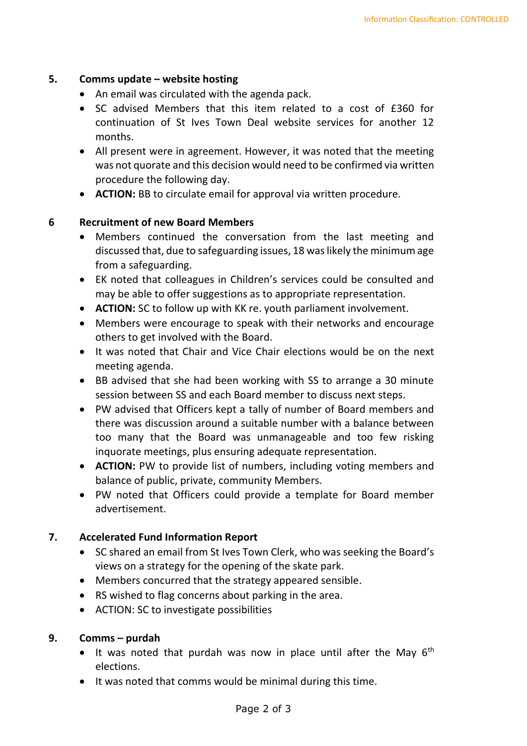#### **5. Comms update – website hosting**

- An email was circulated with the agenda pack.
- SC advised Members that this item related to a cost of £360 for continuation of St Ives Town Deal website services for another 12 months.
- All present were in agreement. However, it was noted that the meeting was not quorate and this decision would need to be confirmed via written procedure the following day.
- **ACTION:** BB to circulate email for approval via written procedure.

#### **6 Recruitment of new Board Members**

- Members continued the conversation from the last meeting and discussed that, due to safeguarding issues, 18 was likely the minimum age from a safeguarding.
- EK noted that colleagues in Children's services could be consulted and may be able to offer suggestions as to appropriate representation.
- **ACTION:** SC to follow up with KK re. youth parliament involvement.
- Members were encourage to speak with their networks and encourage others to get involved with the Board.
- It was noted that Chair and Vice Chair elections would be on the next meeting agenda.
- BB advised that she had been working with SS to arrange a 30 minute session between SS and each Board member to discuss next steps.
- PW advised that Officers kept a tally of number of Board members and there was discussion around a suitable number with a balance between too many that the Board was unmanageable and too few risking inquorate meetings, plus ensuring adequate representation.
- **ACTION:** PW to provide list of numbers, including voting members and balance of public, private, community Members.
- PW noted that Officers could provide a template for Board member advertisement.

#### **7. Accelerated Fund Information Report**

- SC shared an email from St Ives Town Clerk, who was seeking the Board's views on a strategy for the opening of the skate park.
- Members concurred that the strategy appeared sensible.
- RS wished to flag concerns about parking in the area.
- ACTION: SC to investigate possibilities

#### **9. Comms – purdah**

- It was noted that purdah was now in place until after the May  $6<sup>th</sup>$ elections.
- It was noted that comms would be minimal during this time.